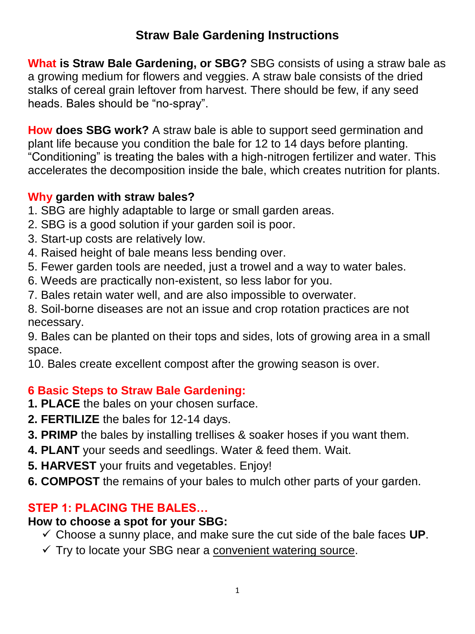# **Straw Bale Gardening Instructions**

**What is Straw Bale Gardening, or SBG?** SBG consists of using a straw bale as a growing medium for flowers and veggies. A straw bale consists of the dried stalks of cereal grain leftover from harvest. There should be few, if any seed heads. Bales should be "no-spray".

**How does SBG work?** A straw bale is able to support seed germination and plant life because you condition the bale for 12 to 14 days before planting. "Conditioning" is treating the bales with a high-nitrogen fertilizer and water. This accelerates the decomposition inside the bale, which creates nutrition for plants.

## **Why garden with straw bales?**

- 1. SBG are highly adaptable to large or small garden areas.
- 2. SBG is a good solution if your garden soil is poor.
- 3. Start-up costs are relatively low.
- 4. Raised height of bale means less bending over.
- 5. Fewer garden tools are needed, just a trowel and a way to water bales.
- 6. Weeds are practically non-existent, so less labor for you.
- 7. Bales retain water well, and are also impossible to overwater.

8. Soil-borne diseases are not an issue and crop rotation practices are not necessary.

9. Bales can be planted on their tops and sides, lots of growing area in a small space.

10. Bales create excellent compost after the growing season is over.

## **6 Basic Steps to Straw Bale Gardening:**

- **1. PLACE** the bales on your chosen surface.
- **2. FERTILIZE** the bales for 12-14 days.
- **3. PRIMP** the bales by installing trellises & soaker hoses if you want them.
- **4. PLANT** your seeds and seedlings. Water & feed them. Wait.
- **5. HARVEST** your fruits and vegetables. Enjoy!
- **6. COMPOST** the remains of your bales to mulch other parts of your garden.

## **STEP 1: PLACING THE BALES…**

#### **How to choose a spot for your SBG:**

- $\checkmark$  Choose a sunny place, and make sure the cut side of the bale faces **UP**.
- $\checkmark$  Try to locate your SBG near a convenient watering source.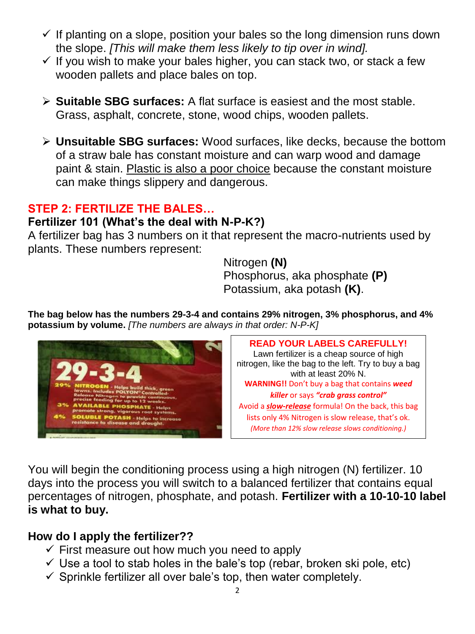- $\checkmark$  If planting on a slope, position your bales so the long dimension runs down the slope. *[This will make them less likely to tip over in wind].*
- $\checkmark$  If you wish to make your bales higher, you can stack two, or stack a few wooden pallets and place bales on top.
- **Suitable SBG surfaces:** A flat surface is easiest and the most stable. Grass, asphalt, concrete, stone, wood chips, wooden pallets.
- **Unsuitable SBG surfaces:** Wood surfaces, like decks, because the bottom of a straw bale has constant moisture and can warp wood and damage paint & stain. Plastic is also a poor choice because the constant moisture can make things slippery and dangerous.

#### **STEP 2: FERTILIZE THE BALES…**

## **Fertilizer 101 (What's the deal with N-P-K?)**

A fertilizer bag has 3 numbers on it that represent the macro-nutrients used by plants. These numbers represent:

> Nitrogen **(N)** Phosphorus, aka phosphate **(P)** Potassium, aka potash **(K)**.

**The bag below has the numbers 29-3-4 and contains 29% nitrogen, 3% phosphorus, and 4% potassium by volume.** *[The numbers are always in that order: N-P-K]*



**READ YOUR LABELS CAREFULLY!**  Lawn fertilizer is a cheap source of high nitrogen, like the bag to the left. Try to buy a bag with at least 20% N. **WARNING!!** Don't buy a bag that contains *weed killer* or says *"crab grass control"* Avoid a *slow-release* formula! On the back, this bag lists only 4% Nitrogen is slow release, that's ok. *(More than 12% slow release slows conditioning.)*

You will begin the conditioning process using a high nitrogen (N) fertilizer. 10 days into the process you will switch to a balanced fertilizer that contains equal percentages of nitrogen, phosphate, and potash. **Fertilizer with a 10-10-10 label is what to buy.** 

## **How do I apply the fertilizer??**

- $\checkmark$  First measure out how much you need to apply
- $\checkmark$  Use a tool to stab holes in the bale's top (rebar, broken ski pole, etc)
- $\checkmark$  Sprinkle fertilizer all over bale's top, then water completely.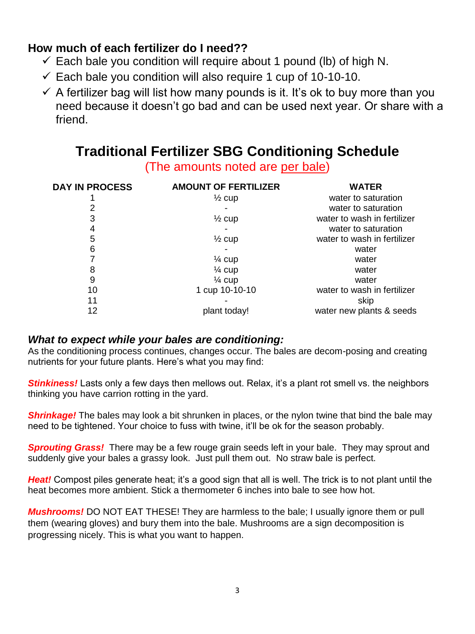### **How much of each fertilizer do I need??**

- $\checkmark$  Each bale you condition will require about 1 pound (lb) of high N.
- $\checkmark$  Each bale you condition will also require 1 cup of 10-10-10.
- $\checkmark$  A fertilizer bag will list how many pounds is it. It's ok to buy more than you need because it doesn't go bad and can be used next year. Or share with a friend.

# **Traditional Fertilizer SBG Conditioning Schedule**

(The amounts noted are per bale)

| <b>DAY IN PROCESS</b> | <b>AMOUNT OF FERTILIZER</b> | <b>WATER</b>                |
|-----------------------|-----------------------------|-----------------------------|
|                       | $\frac{1}{2}$ cup           | water to saturation         |
|                       |                             | water to saturation         |
| 3                     | $\frac{1}{2}$ cup           | water to wash in fertilizer |
| 4                     |                             | water to saturation         |
| 5                     | $\frac{1}{2}$ cup           | water to wash in fertilizer |
| 6                     |                             | water                       |
|                       | $\frac{1}{4}$ cup           | water                       |
| 8                     | $\frac{1}{4}$ cup           | water                       |
| 9                     | $\frac{1}{4}$ cup           | water                       |
| 10                    | 1 cup 10-10-10              | water to wash in fertilizer |
| 11                    |                             | skip                        |
| 12                    | plant today!                | water new plants & seeds    |

#### *What to expect while your bales are conditioning:*

As the conditioning process continues, changes occur. The bales are decom-posing and creating nutrients for your future plants. Here's what you may find:

*Stinkiness!* Lasts only a few days then mellows out. Relax, it's a plant rot smell vs. the neighbors thinking you have carrion rotting in the yard.

**Shrinkage!** The bales may look a bit shrunken in places, or the nylon twine that bind the bale may need to be tightened. Your choice to fuss with twine, it'll be ok for the season probably.

*Sprouting Grass!* There may be a few rouge grain seeds left in your bale. They may sprout and suddenly give your bales a grassy look. Just pull them out. No straw bale is perfect.

*Heat!* Compost piles generate heat; it's a good sign that all is well. The trick is to not plant until the heat becomes more ambient. Stick a thermometer 6 inches into bale to see how hot.

*Mushrooms!* DO NOT EAT THESE! They are harmless to the bale; I usually ignore them or pull them (wearing gloves) and bury them into the bale. Mushrooms are a sign decomposition is progressing nicely. This is what you want to happen.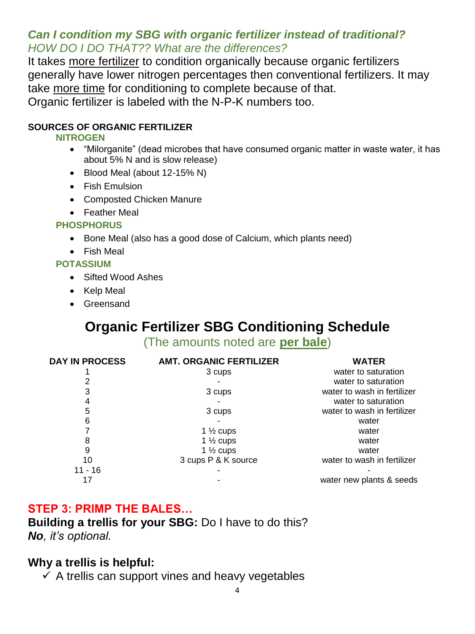#### *Can I condition my SBG with organic fertilizer instead of traditional? HOW DO I DO THAT?? What are the differences?*

It takes more fertilizer to condition organically because organic fertilizers generally have lower nitrogen percentages then conventional fertilizers. It may take more time for conditioning to complete because of that. Organic fertilizer is labeled with the N-P-K numbers too.

#### **SOURCES OF ORGANIC FERTILIZER**

#### **NITROGEN**

- "Milorganite" (dead microbes that have consumed organic matter in waste water, it has about 5% N and is slow release)
- Blood Meal (about 12-15% N)
- Fish Emulsion
- Composted Chicken Manure
- Feather Meal

#### **PHOSPHORUS**

- Bone Meal (also has a good dose of Calcium, which plants need)
- Fish Meal

#### **POTASSIUM**

- Sifted Wood Ashes
- Kelp Meal
- Greensand

# **Organic Fertilizer SBG Conditioning Schedule**

(The amounts noted are **per bale**)

| <b>DAY IN PROCESS</b> | <b>AMT. ORGANIC FERTILIZER</b> | <b>WATER</b>                |
|-----------------------|--------------------------------|-----------------------------|
|                       | 3 cups                         | water to saturation         |
|                       |                                | water to saturation         |
| 3                     | 3 cups                         | water to wash in fertilizer |
|                       |                                | water to saturation         |
| 5                     | 3 cups                         | water to wash in fertilizer |
| 6                     |                                | water                       |
|                       | 1 $\frac{1}{2}$ cups           | water                       |
| 8                     | 1 $\frac{1}{2}$ cups           | water                       |
| 9                     | 1 $\frac{1}{2}$ cups           | water                       |
| 10                    | 3 cups P & K source            | water to wash in fertilizer |
| $11 - 16$             |                                |                             |
|                       |                                | water new plants & seeds    |

#### **STEP 3: PRIMP THE BALES…**

**Building a trellis for your SBG:** Do I have to do this? *No, it's optional.* 

#### **Why a trellis is helpful:**

 $\checkmark$  A trellis can support vines and heavy vegetables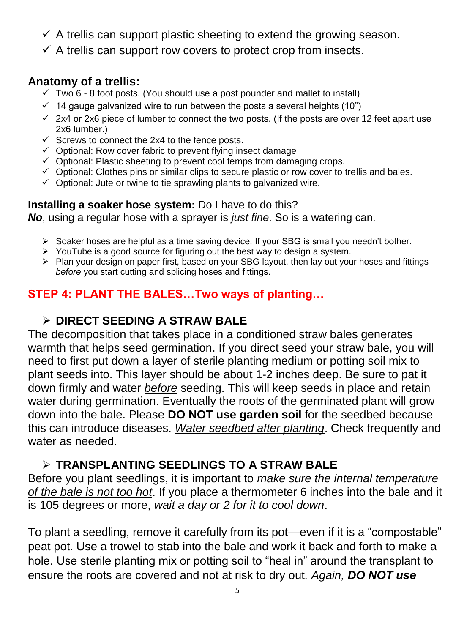- $\checkmark$  A trellis can support plastic sheeting to extend the growing season.
- $\checkmark$  A trellis can support row covers to protect crop from insects.

#### **Anatomy of a trellis:**

- $\checkmark$  Two 6 8 foot posts. (You should use a post pounder and mallet to install)
- $\checkmark$  14 gauge galvanized wire to run between the posts a several heights (10")
- $\checkmark$  2x4 or 2x6 piece of lumber to connect the two posts. (If the posts are over 12 feet apart use 2x6 lumber.)
- $\checkmark$  Screws to connect the 2x4 to the fence posts.
- $\checkmark$  Optional: Row cover fabric to prevent flying insect damage
- $\checkmark$  Optional: Plastic sheeting to prevent cool temps from damaging crops.
- $\checkmark$  Optional: Clothes pins or similar clips to secure plastic or row cover to trellis and bales.
- $\checkmark$  Optional: Jute or twine to tie sprawling plants to galvanized wire.

#### **Installing a soaker hose system:** Do I have to do this?

*No*, using a regular hose with a sprayer is *just fine*. So is a watering can.

- Soaker hoses are helpful as a time saving device. If your SBG is small you needn't bother.
- $\triangleright$  YouTube is a good source for figuring out the best way to design a system.
- $\triangleright$  Plan your design on paper first, based on your SBG layout, then lay out your hoses and fittings *before* you start cutting and splicing hoses and fittings.

## **STEP 4: PLANT THE BALES…Two ways of planting…**

#### **DIRECT SEEDING A STRAW BALE**

The decomposition that takes place in a conditioned straw bales generates warmth that helps seed germination. If you direct seed your straw bale, you will need to first put down a layer of sterile planting medium or potting soil mix to plant seeds into. This layer should be about 1-2 inches deep. Be sure to pat it down firmly and water *before* seeding. This will keep seeds in place and retain water during germination. Eventually the roots of the germinated plant will grow down into the bale. Please **DO NOT use garden soil** for the seedbed because this can introduce diseases. *Water seedbed after planting*. Check frequently and water as needed.

## **TRANSPLANTING SEEDLINGS TO A STRAW BALE**

Before you plant seedlings, it is important to *make sure the internal temperature of the bale is not too hot*. If you place a thermometer 6 inches into the bale and it is 105 degrees or more, *wait a day or 2 for it to cool down*.

To plant a seedling, remove it carefully from its pot—even if it is a "compostable" peat pot. Use a trowel to stab into the bale and work it back and forth to make a hole. Use sterile planting mix or potting soil to "heal in" around the transplant to ensure the roots are covered and not at risk to dry out*. Again, DO NOT use*